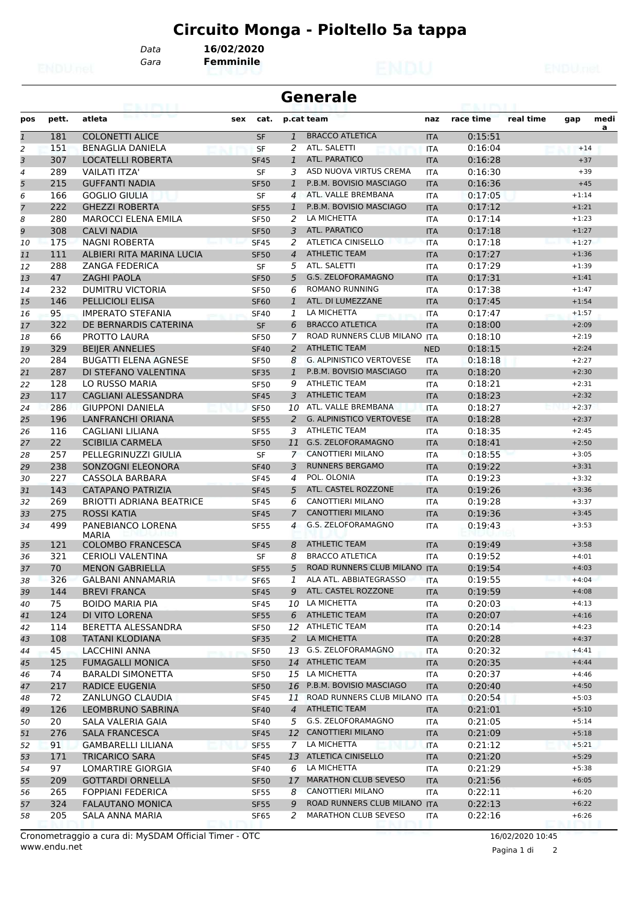# **Circuito Monga - Pioltello 5a tappa**

*Data* **16/02/2020**

*Gara* **Femminile**

|                | <b>Generale</b> |                                      |     |                  |                |                                 |                          |           |           |         |           |  |
|----------------|-----------------|--------------------------------------|-----|------------------|----------------|---------------------------------|--------------------------|-----------|-----------|---------|-----------|--|
| pos            | pett.           | atleta                               | sex | cat.             |                | p.cat team                      | naz                      | race time | real time | gap     | medi<br>a |  |
| $\overline{1}$ | 181             | <b>COLONETTI ALICE</b>               |     | <b>SF</b>        | $\mathbf{1}$   | <b>BRACCO ATLETICA</b>          | <b>ITA</b>               | 0:15:51   |           |         |           |  |
| $\overline{a}$ | 151             | <b>BENAGLIA DANIELA</b>              |     | <b>SF</b>        | 2              | ATL. SALETTI                    | <b>ITA</b>               | 0:16:04   |           | $+14$   |           |  |
| 3              | 307             | <b>LOCATELLI ROBERTA</b>             |     | <b>SF45</b>      | $\mathbf{1}$   | ATL. PARATICO                   | <b>ITA</b>               | 0:16:28   |           | $+37$   |           |  |
| 4              | 289             | <b>VAILATI ITZA'</b>                 |     | <b>SF</b>        | 3              | ASD NUOVA VIRTUS CREMA          | <b>ITA</b>               | 0:16:30   |           | $+39$   |           |  |
| 5              | 215             | <b>GUFFANTI NADIA</b>                |     | <b>SF50</b>      | 1              | P.B.M. BOVISIO MASCIAGO         | <b>ITA</b>               | 0:16:36   |           | $+45$   |           |  |
| 6              | 166             | GOGLIO GIULIA                        |     | <b>SF</b>        | 4              | ATL. VALLE BREMBANA             | ITA                      | 0:17:05   |           | $+1:14$ |           |  |
| $\overline{7}$ | 222             | <b>GHEZZI ROBERTA</b>                |     | <b>SF55</b>      | $\mathbf{1}$   | P.B.M. BOVISIO MASCIAGO         | <b>ITA</b>               | 0:17:12   |           | $+1:21$ |           |  |
| 8              | 280             | <b>MAROCCI ELENA EMILA</b>           |     | <b>SF50</b>      | 2              | LA MICHETTA                     | <b>ITA</b>               | 0:17:14   |           | $+1:23$ |           |  |
| 9              | 308             | <b>CALVI NADIA</b>                   |     | <b>SF50</b>      | 3              | <b>ATL. PARATICO</b>            | <b>ITA</b>               | 0:17:18   |           | $+1:27$ |           |  |
| 10             | 175             | <b>NAGNI ROBERTA</b>                 |     | <b>SF45</b>      | 2              | <b>ATLETICA CINISELLO</b>       | <b>ITA</b>               | 0:17:18   |           | $+1:27$ |           |  |
| 11             | 111             | ALBIERI RITA MARINA LUCIA            |     | <b>SF50</b>      | $\overline{4}$ | <b>ATHLETIC TEAM</b>            | <b>ITA</b>               | 0:17:27   |           | $+1:36$ |           |  |
| 12             | 288             | <b>ZANGA FEDERICA</b>                |     | SF               | 5              | ATL. SALETTI                    | <b>ITA</b>               | 0:17:29   |           | $+1:39$ |           |  |
| 13             | 47              | <b>ZAGHI PAOLA</b>                   |     | <b>SF50</b>      | 5              | <b>G.S. ZELOFORAMAGNO</b>       | <b>ITA</b>               | 0:17:31   |           | $+1:41$ |           |  |
| 14             | 232             | DUMITRU VICTORIA                     |     | <b>SF50</b>      | 6              | <b>ROMANO RUNNING</b>           | <b>ITA</b>               | 0:17:38   |           | $+1:47$ |           |  |
| 15             | 146             | <b>PELLICIOLI ELISA</b>              |     | <b>SF60</b>      | 1              | ATL. DI LUMEZZANE               | <b>ITA</b>               | 0:17:45   |           | $+1:54$ |           |  |
| 16             | 95              | <b>IMPERATO STEFANIA</b>             |     | <b>SF40</b>      | 1              | LA MICHETTA                     | <b>ITA</b>               | 0:17:47   |           | $+1:57$ |           |  |
| 17             | 322             | DE BERNARDIS CATERINA                |     | <b>SF</b>        | 6              | <b>BRACCO ATLETICA</b>          | <b>ITA</b>               | 0:18:00   |           | $+2:09$ |           |  |
| 18             | 66              | PROTTO LAURA                         |     | <b>SF50</b>      | 7              | ROAD RUNNERS CLUB MILANO ITA    |                          | 0:18:10   |           | $+2:19$ |           |  |
| 19             | 329             | <b>BEIJER ANNELIES</b>               |     | <b>SF40</b>      | 2              | <b>ATHLETIC TEAM</b>            | <b>NED</b>               | 0:18:15   |           | $+2:24$ |           |  |
| 20             | 284             | <b>BUGATTI ELENA AGNESE</b>          |     | <b>SF50</b>      | 8              | <b>G. ALPINISTICO VERTOVESE</b> | <b>ITA</b>               | 0:18:18   |           | $+2:27$ |           |  |
| 21             | 287             | DI STEFANO VALENTINA                 |     | <b>SF35</b>      | $\mathbf{1}$   | P.B.M. BOVISIO MASCIAGO         | <b>ITA</b>               | 0:18:20   |           | $+2:30$ |           |  |
| 22             | 128             | LO RUSSO MARIA                       |     | <b>SF50</b>      | 9              | <b>ATHLETIC TEAM</b>            | <b>ITA</b>               | 0:18:21   |           | $+2:31$ |           |  |
| 23             | 117             | <b>CAGLIANI ALESSANDRA</b>           |     | <b>SF45</b>      | 3              | <b>ATHLETIC TEAM</b>            | <b>ITA</b>               | 0:18:23   |           | $+2:32$ |           |  |
| 24             | 286             | <b>GIUPPONI DANIELA</b>              |     | <b>SF50</b>      | 10             | ATL. VALLE BREMBANA             | <b>ITA</b>               | 0:18:27   |           | $+2:37$ |           |  |
| 25             | 196             | <b>LANFRANCHI ORIANA</b>             |     | <b>SF55</b>      | 2              | <b>G. ALPINISTICO VERTOVESE</b> | <b>ITA</b>               | 0:18:28   |           | $+2:37$ |           |  |
| 26             | 116             | CAGLIANI LILIANA                     |     | <b>SF55</b>      | 3              | <b>ATHLETIC TEAM</b>            | <b>ITA</b>               | 0:18:35   |           | $+2:45$ |           |  |
| 27             | 22              | <b>SCIBILIA CARMELA</b>              |     | <b>SF50</b>      | 11             | G.S. ZELOFORAMAGNO              | <b>ITA</b>               | 0:18:41   |           | $+2:50$ |           |  |
| 28             | 257             | PELLEGRINUZZI GIULIA                 |     | <b>SF</b>        | 7              | CANOTTIERI MILANO               | <b>ITA</b>               | 0:18:55   |           | $+3:05$ |           |  |
| 29             | 238             | SONZOGNI ELEONORA                    |     | <b>SF40</b>      | 3              | <b>RUNNERS BERGAMO</b>          | <b>ITA</b>               | 0:19:22   |           | $+3:31$ |           |  |
|                | 227             |                                      |     |                  | 4              | POL. OLONIA                     |                          | 0:19:23   |           | $+3:32$ |           |  |
| 30<br>31       | 143             | CASSOLA BARBARA<br>CATAPANO PATRIZIA |     | <b>SF45</b>      | 5              | ATL. CASTEL ROZZONE             | <b>ITA</b><br><b>ITA</b> | 0:19:26   |           | $+3:36$ |           |  |
|                |                 |                                      |     | <b>SF45</b>      |                | CANOTTIERI MILANO               |                          |           |           | $+3:37$ |           |  |
| 32             | 269             | <b>BRIOTTI ADRIANA BEATRICE</b>      |     | <b>SF45</b>      | 6              | <b>CANOTTIERI MILANO</b>        | <b>ITA</b>               | 0:19:28   |           |         |           |  |
| 33             | 275             | <b>ROSSI KATIA</b>                   |     | <b>SF45</b>      | 7              |                                 | <b>ITA</b>               | 0:19:36   |           | $+3:45$ |           |  |
| 34             | 499             | PANEBIANCO LORENA<br><b>MARIA</b>    |     | <b>SF55</b>      | 4              | G.S. ZELOFORAMAGNO              | <b>ITA</b>               | 0:19:43   |           | $+3:53$ |           |  |
| 35             | 121             | <b>COLOMBO FRANCESCA</b>             |     | <b>SF45</b>      | 8              | <b>ATHLETIC TEAM</b>            | <b>ITA</b>               | 0:19:49   |           | $+3:58$ |           |  |
| 36             | 321             | <b>CERIOLI VALENTINA</b>             |     | SF               | 8              | <b>BRACCO ATLETICA</b>          | <b>ITA</b>               | 0:19:52   |           | $+4:01$ |           |  |
| 37             | 70              | <b>MENON GABRIELLA</b>               |     | <b>SF55</b>      | 5 <sup>5</sup> | ROAD RUNNERS CLUB MILANO ITA    |                          | 0:19:54   |           | $+4:03$ |           |  |
| 38             | 326             | <b>GALBANI ANNAMARIA</b>             |     | SF <sub>65</sub> |                | 1 ALA ATL. ABBIATEGRASSO        | <b>ITA</b>               | 0:19:55   |           | $+4:04$ |           |  |
| 39             | 144             | <b>BREVI FRANCA</b>                  |     | <b>SF45</b>      | 9              | ATL. CASTEL ROZZONE             | <b>ITA</b>               | 0:19:59   |           | $+4:08$ |           |  |
| 40             | 75              | <b>BOIDO MARIA PIA</b>               |     | SF45             |                | 10 LA MICHETTA                  | ITA                      | 0:20:03   |           | $+4:13$ |           |  |
| 41             | 124             | DI VITO LORENA                       |     | <b>SF55</b>      |                | 6 ATHLETIC TEAM                 | <b>ITA</b>               | 0:20:07   |           | $+4:16$ |           |  |
| 42             | 114             | BERETTA ALESSANDRA                   |     | <b>SF50</b>      |                | 12 ATHLETIC TEAM                |                          | 0:20:14   |           | $+4:23$ |           |  |
|                | 108             | <b>TATANI KLODIANA</b>               |     |                  | 2              | LA MICHETTA                     | ITA                      | 0:20:28   |           | $+4:37$ |           |  |
| 43             |                 |                                      |     | <b>SF35</b>      |                | 13 G.S. ZELOFORAMAGNO           | <b>ITA</b>               |           |           |         |           |  |
| 44             | 45              | LACCHINI ANNA                        |     | <b>SF50</b>      |                |                                 | ITA                      | 0:20:32   |           | $+4:41$ |           |  |
| 45             | 125             | <b>FUMAGALLI MONICA</b>              |     | <b>SF50</b>      |                | 14 ATHLETIC TEAM                | <b>ITA</b>               | 0:20:35   |           | $+4:44$ |           |  |
| 46             | 74              | <b>BARALDI SIMONETTA</b>             |     | <b>SF50</b>      |                | 15 LA MICHETTA                  | ITA                      | 0:20:37   |           | $+4:46$ |           |  |
| 47             | 217             | RADICE EUGENIA                       |     | <b>SF50</b>      |                | 16 P.B.M. BOVISIO MASCIAGO      | <b>ITA</b>               | 0:20:40   |           | $+4:50$ |           |  |
| 48             | 72              | ZANLUNGO CLAUDIA                     |     | <b>SF45</b>      |                | 11 ROAD RUNNERS CLUB MILANO ITA |                          | 0:20:54   |           | $+5:03$ |           |  |
| 49             | 126             | LEOMBRUNO SABRINA                    |     | <b>SF40</b>      | $\overline{4}$ | <b>ATHLETIC TEAM</b>            | <b>ITA</b>               | 0:21:01   |           | $+5:10$ |           |  |
| 50             | 20              | SALA VALERIA GAIA                    |     | <b>SF40</b>      | 5              | G.S. ZELOFORAMAGNO              | ITA                      | 0:21:05   |           | $+5:14$ |           |  |
| 51             | 276             | <b>SALA FRANCESCA</b>                |     | <b>SF45</b>      |                | 12 CANOTTIERI MILANO            | <b>ITA</b>               | 0:21:09   |           | $+5:18$ |           |  |
| 52             | 91              | GAMBARELLI LILIANA                   |     | <b>SF55</b>      | 7              | LA MICHETTA                     | ITA                      | 0:21:12   |           | $+5:21$ |           |  |
| 53             | 171             | <b>TRICARICO SARA</b>                |     | <b>SF45</b>      |                | 13 ATLETICA CINISELLO           | <b>ITA</b>               | 0:21:20   |           | $+5:29$ |           |  |
| 54             | 97              | LOMARTIRE GIORGIA                    |     | <b>SF40</b>      | 6              | LA MICHETTA                     | ITA                      | 0:21:29   |           | $+5:38$ |           |  |
| 55             | 209             | <b>GOTTARDI ORNELLA</b>              |     | <b>SF50</b>      |                | 17 MARATHON CLUB SEVESO         | <b>ITA</b>               | 0:21:56   |           | $+6:05$ |           |  |
| 56             | 265             | FOPPIANI FEDERICA                    |     | SF <sub>55</sub> | 8              | CANOTTIERI MILANO               | <b>ITA</b>               | 0:22:11   |           | $+6:20$ |           |  |
| 57             | 324             | <b>FALAUTANO MONICA</b>              |     | <b>SF55</b>      | 9              | ROAD RUNNERS CLUB MILANO ITA    |                          | 0:22:13   |           | $+6:22$ |           |  |
| 58             | 205             | SALA ANNA MARIA                      |     | SF65             | 2              | MARATHON CLUB SEVESO            | ITA                      | 0:22:16   |           | $+6:26$ |           |  |

Pagina 1 di 2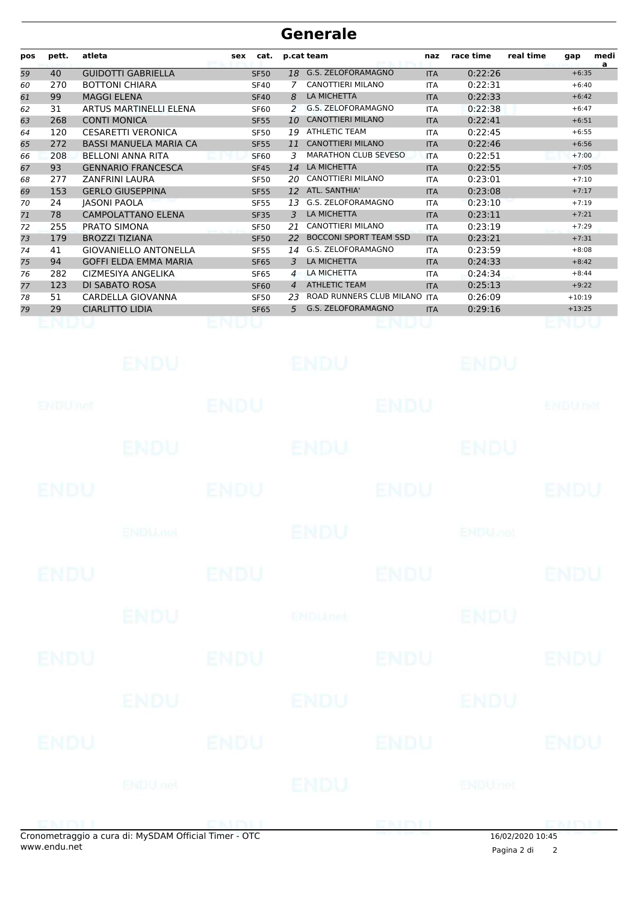| pos | pett. | atleta                        | sex | cat.        |                | p.cat team                    | naz        | race time | real time | gap      | medi<br>a |
|-----|-------|-------------------------------|-----|-------------|----------------|-------------------------------|------------|-----------|-----------|----------|-----------|
| 59  | 40    | <b>GUIDOTTI GABRIELLA</b>     |     | <b>SF50</b> | 18             | G.S. ZELOFORAMAGNO            | <b>ITA</b> | 0:22:26   |           | $+6:35$  |           |
| 60  | 270   | <b>BOTTONI CHIARA</b>         |     | <b>SF40</b> |                | CANOTTIERI MILANO             | <b>ITA</b> | 0:22:31   |           | $+6:40$  |           |
| 61  | 99    | <b>MAGGI ELENA</b>            |     | <b>SF40</b> | 8              | <b>LA MICHETTA</b>            | <b>ITA</b> | 0:22:33   |           | $+6:42$  |           |
| 62  | 31    | ARTUS MARTINELLI ELENA        |     | <b>SF60</b> | 2              | G.S. ZELOFORAMAGNO            | <b>ITA</b> | 0:22:38   |           | $+6:47$  |           |
| 63  | 268   | <b>CONTI MONICA</b>           |     | <b>SF55</b> | 10             | <b>CANOTTIERI MILANO</b>      | <b>ITA</b> | 0:22:41   |           | $+6:51$  |           |
| 64  | 120   | <b>CESARETTI VERONICA</b>     |     | <b>SF50</b> | 19             | <b>ATHLETIC TEAM</b>          | <b>ITA</b> | 0:22:45   |           | $+6:55$  |           |
| 65  | 272   | <b>BASSI MANUELA MARIA CA</b> |     | <b>SF55</b> | 11             | <b>CANOTTIERI MILANO</b>      | <b>ITA</b> | 0:22:46   |           | $+6:56$  |           |
| 66  | 208   | <b>BELLONI ANNA RITA</b>      |     | <b>SF60</b> | 3              | <b>MARATHON CLUB SEVESO</b>   | <b>ITA</b> | 0:22:51   |           | $+7:00$  |           |
| 67  | 93    | <b>GENNARIO FRANCESCA</b>     |     | <b>SF45</b> | 14             | <b>LA MICHETTA</b>            | <b>ITA</b> | 0:22:55   |           | $+7:05$  |           |
| 68  | 277   | <b>ZANFRINI LAURA</b>         |     | <b>SF50</b> | 20             | <b>CANOTTIERI MILANO</b>      | <b>ITA</b> | 0:23:01   |           | $+7:10$  |           |
| 69  | 153   | <b>GERLO GIUSEPPINA</b>       |     | <b>SF55</b> | 12             | ATL. SANTHIA'                 | <b>ITA</b> | 0:23:08   |           | $+7:17$  |           |
| 70  | 24    | <b>JASONI PAOLA</b>           |     | <b>SF55</b> | 13             | G.S. ZELOFORAMAGNO            | <b>ITA</b> | 0:23:10   |           | $+7:19$  |           |
| 71  | 78    | <b>CAMPOLATTANO ELENA</b>     |     | <b>SF35</b> | 3              | <b>LA MICHETTA</b>            | <b>ITA</b> | 0:23:11   |           | $+7:21$  |           |
| 72  | 255   | <b>PRATO SIMONA</b>           |     | <b>SF50</b> | 21             | CANOTTIERI MILANO             | <b>ITA</b> | 0:23:19   |           | $+7:29$  |           |
| 73  | 179   | <b>BROZZI TIZIANA</b>         |     | <b>SF50</b> | 22             | <b>BOCCONI SPORT TEAM SSD</b> | <b>ITA</b> | 0:23:21   |           | $+7:31$  |           |
| 74  | 41    | <b>GIOVANIELLO ANTONELLA</b>  |     | <b>SF55</b> | 14             | G.S. ZELOFORAMAGNO            | <b>ITA</b> | 0:23:59   |           | $+8:08$  |           |
| 75  | 94    | <b>GOFFI ELDA EMMA MARIA</b>  |     | <b>SF65</b> | 3              | <b>LA MICHETTA</b>            | <b>ITA</b> | 0:24:33   |           | $+8:42$  |           |
| 76  | 282   | CIZMESIYA ANGELIKA            |     | <b>SF65</b> | $\overline{4}$ | LA MICHETTA                   | <b>ITA</b> | 0:24:34   |           | $+8:44$  |           |
| 77  | 123   | <b>DI SABATO ROSA</b>         |     | <b>SF60</b> | $\overline{4}$ | <b>ATHLETIC TEAM</b>          | <b>ITA</b> | 0:25:13   |           | $+9:22$  |           |
| 78  | 51    | CARDELLA GIOVANNA             |     | <b>SF50</b> | 23             | ROAD RUNNERS CLUB MILANO      | <b>ITA</b> | 0:26:09   |           | $+10:19$ |           |
| 79  | 29    | <b>CIARLITTO LIDIA</b>        |     | <b>SF65</b> | 5              | <b>G.S. ZELOFORAMAGNO</b>     | <b>ITA</b> | 0:29:16   |           | $+13:25$ |           |
|     |       |                               |     |             |                |                               |            |           |           |          |           |

|             | ENDU                                                |             | ENDU        |             | ENDU                      |                |
|-------------|-----------------------------------------------------|-------------|-------------|-------------|---------------------------|----------------|
| ENDUMED     |                                                     | <b>ENDU</b> |             | <b>ENDU</b> |                           | <b>ENDUnet</b> |
|             | ENDU                                                |             | ENDU        |             | <b>ENDU</b>               |                |
| <b>ENDU</b> |                                                     | <b>ENDU</b> |             | <b>ENDU</b> |                           | <b>ENDU</b>    |
|             | <b>ENDUMEN</b>                                      |             | <b>ENDU</b> |             | <b>ENDU<sub>Wel</sub></b> |                |
| <b>ENDU</b> |                                                     | <b>ENDU</b> |             | <b>ENDU</b> |                           | <b>ENDU</b>    |
|             | <b>ENDU</b>                                         |             | ENDUnet     |             | <b>ENDU</b>               |                |
| ENDU        |                                                     | <b>ENDU</b> |             | <b>ENDU</b> |                           | <b>ENDU</b>    |
|             | <b>ENDU</b>                                         |             | <b>ENDU</b> |             | ENDU                      |                |
| ENDU        |                                                     | <b>ENDU</b> |             | <b>ENDU</b> |                           | <b>ENDU</b>    |
|             | <b>ENDUnet</b>                                      |             | ENDU        |             | ENDUmet                   |                |
|             | prometraggio a cura di: MySDAM Official Timer - OTC |             |             | ENDLI       | $16/02/2020$ $10.45$      |                |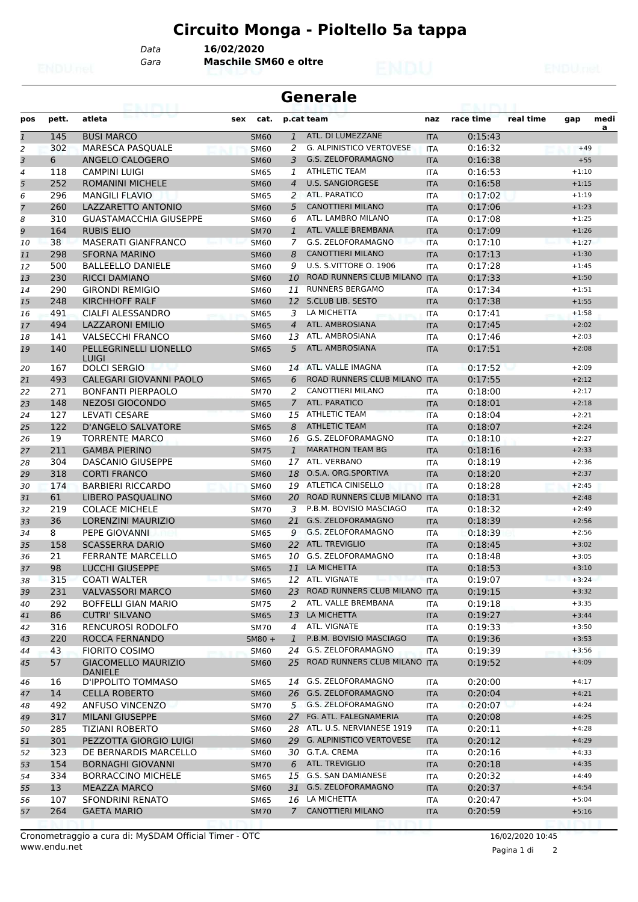# **Circuito Monga - Pioltello 5a tappa**

*Data* **16/02/2020**

*Gara* **Maschile SM60 e oltre**

#### **Generale**

| pos          | pett.    | atleta                                              | cat.<br>sex                                 |                 | p.cat team                                            | naz        | race time          | real time | gap                | medi |
|--------------|----------|-----------------------------------------------------|---------------------------------------------|-----------------|-------------------------------------------------------|------------|--------------------|-----------|--------------------|------|
| $\mathbf{1}$ | 145      | <b>BUSI MARCO</b>                                   | <b>SM60</b>                                 | $\mathbf{1}$    | ATL. DI LUMEZZANE                                     | <b>ITA</b> | 0:15:43            |           |                    | a    |
| 2            | 302      | <b>MARESCA PASQUALE</b>                             | <b>SM60</b>                                 | 2               | <b>G. ALPINISTICO VERTOVESE</b>                       | <b>ITA</b> | 0:16:32            |           | $+49$              |      |
| 3            | 6        | ANGELO CALOGERO                                     | <b>SM60</b>                                 | 3               | G.S. ZELOFORAMAGNO                                    | <b>ITA</b> | 0:16:38            |           | $+55$              |      |
| 4            | 118      | <b>CAMPINI LUIGI</b>                                | <b>SM65</b>                                 | 1               | <b>ATHLETIC TEAM</b>                                  | <b>ITA</b> | 0:16:53            |           | $+1:10$            |      |
| 5            | 252      | <b>ROMANINI MICHELE</b>                             | <b>SM60</b>                                 | $\overline{4}$  | <b>U.S. SANGIORGESE</b>                               | <b>ITA</b> | 0:16:58            |           | $+1:15$            |      |
| 6            | 296      | <b>MANGILI FLAVIO</b>                               | <b>SM65</b>                                 | 2               | ATL. PARATICO                                         | <b>ITA</b> | 0:17:02            |           | $+1:19$            |      |
| 7            | 260      | LAZZARETTO ANTONIO                                  | <b>SM60</b>                                 | 5               | <b>CANOTTIERI MILANO</b>                              | <b>ITA</b> | 0:17:06            |           | $+1:23$            |      |
| 8            | 310      | <b>GUASTAMACCHIA GIUSEPPE</b>                       | <b>SM60</b>                                 | 6               | ATL. LAMBRO MILANO                                    | <b>ITA</b> | 0:17:08            |           | $+1:25$            |      |
| 9            | 164      | <b>RUBIS ELIO</b>                                   | <b>SM70</b>                                 | $\mathbf{1}$    | ATL. VALLE BREMBANA                                   | <b>ITA</b> | 0:17:09            |           | $+1:26$            |      |
| 10           | 38       | <b>MASERATI GIANFRANCO</b>                          | <b>SM60</b>                                 | 7               | G.S. ZELOFORAMAGNO                                    | <b>ITA</b> | 0:17:10            |           | $+1:27$            |      |
| 11           | 298      | <b>SFORNA MARINO</b>                                | <b>SM60</b>                                 | 8               | <b>CANOTTIERI MILANO</b>                              | <b>ITA</b> | 0:17:13            |           | $+1:30$            |      |
| 12           | 500      | <b>BALLEELLO DANIELE</b>                            | <b>SM60</b>                                 | 9               | U.S. S.VITTORE O. 1906                                | <b>ITA</b> | 0:17:28            |           | $+1:45$            |      |
| 13           | 230      | <b>RICCI DAMIANO</b>                                | <b>SM60</b>                                 | 10              | ROAD RUNNERS CLUB MILANO ITA                          |            | 0:17:33            |           | $+1:50$            |      |
| 14           | 290      | <b>GIRONDI REMIGIO</b>                              | SM60                                        | 11              | <b>RUNNERS BERGAMO</b>                                | <b>ITA</b> | 0:17:34            |           | $+1:51$            |      |
| 15           | 248      | <b>KIRCHHOFF RALF</b>                               | <b>SM60</b>                                 | 12 <sup>7</sup> | <b>S.CLUB LIB. SESTO</b>                              | <b>ITA</b> | 0:17:38            |           | $+1:55$            |      |
| 16           | 491      | <b>CIALFI ALESSANDRO</b>                            | <b>SM65</b>                                 | 3               | LA MICHETTA                                           | <b>ITA</b> | 0:17:41            |           | $+1:58$            |      |
| 17           | 494      | <b>LAZZARONI EMILIO</b>                             | <b>SM65</b>                                 | $\overline{4}$  | ATL. AMBROSIANA                                       | <b>ITA</b> | 0:17:45            |           | $+2:02$            |      |
| 18           | 141      | <b>VALSECCHI FRANCO</b>                             | <b>SM60</b>                                 | 13              | ATL. AMBROSIANA                                       | <b>ITA</b> | 0:17:46            |           | $+2:03$            |      |
| 19           | 140      | PELLEGRINELLI LIONELLO<br><b>LUIGI</b>              | <b>SM65</b>                                 | 5               | ATL. AMBROSIANA                                       | <b>ITA</b> | 0:17:51            |           | $+2:08$            |      |
| 20           | 167      | <b>DOLCI SERGIO</b>                                 | <b>SM60</b>                                 | 14              | ATL. VALLE IMAGNA                                     | ITA        | 0:17:52            |           | $+2:09$            |      |
| 21           | 493      | CALEGARI GIOVANNI PAOLO                             | <b>SM65</b>                                 | 6               | ROAD RUNNERS CLUB MILANO ITA                          |            | 0:17:55            |           | $+2:12$            |      |
| 22           | 271      | <b>BONFANTI PIERPAOLO</b>                           | <b>SM70</b>                                 | 2               | CANOTTIERI MILANO                                     | <b>ITA</b> | 0:18:00            |           | $+2:17$            |      |
| 23           | 148      | <b>NEZOSI GIOCONDO</b>                              | <b>SM65</b>                                 | $\overline{7}$  | ATL. PARATICO                                         | <b>ITA</b> | 0:18:01            |           | $+2:18$            |      |
| 24           | 127      | <b>LEVATI CESARE</b>                                | <b>SM60</b>                                 | 15              | ATHLETIC TEAM                                         | <b>ITA</b> | 0:18:04            |           | $+2:21$            |      |
| 25           | 122      | <b>D'ANGELO SALVATORE</b>                           | <b>SM65</b>                                 | 8               | <b>ATHLETIC TEAM</b>                                  | <b>ITA</b> | 0:18:07            |           | $+2:24$            |      |
| 26           | 19       | <b>TORRENTE MARCO</b>                               | <b>SM60</b>                                 | 16              | <b>G.S. ZELOFORAMAGNO</b>                             | <b>ITA</b> | 0:18:10            |           | $+2:27$            |      |
| 27           | 211      | <b>GAMBA PIERINO</b>                                | <b>SM75</b>                                 | $\mathbf{1}$    | <b>MARATHON TEAM BG</b>                               | <b>ITA</b> | 0:18:16            |           | $+2:33$            |      |
| 28           | 304      | <b>DASCANIO GIUSEPPE</b>                            | <b>SM60</b>                                 |                 | 17 ATL. VERBANO                                       | ITA        | 0:18:19            |           | $+2:36$            |      |
| 29           | 318      | <b>CORTI FRANCO</b>                                 | <b>SM60</b>                                 | 18              | O.S.A. ORG.SPORTIVA                                   | <b>ITA</b> | 0:18:20            |           | $+2:37$            |      |
| 30           | 174      | <b>BARBIERI RICCARDO</b>                            | <b>SM60</b>                                 |                 | 19 ATLETICA CINISELLO                                 | <b>ITA</b> | 0:18:28            |           | $+2:45$            |      |
| 31           | 61       | LIBERO PASQUALINO                                   | <b>SM60</b>                                 | 20              | ROAD RUNNERS CLUB MILANO ITA                          |            | 0:18:31            |           | $+2:48$            |      |
| 32           | 219      | <b>COLACE MICHELE</b>                               | <b>SM70</b>                                 | 3               | P.B.M. BOVISIO MASCIAGO                               | <b>ITA</b> | 0:18:32            |           | $+2:49$            |      |
| 33           | 36       | <b>LORENZINI MAURIZIO</b>                           |                                             | 21              | G.S. ZELOFORAMAGNO                                    |            | 0:18:39            |           | $+2:56$            |      |
|              | 8        | PEPE GIOVANNI                                       | <b>SM60</b>                                 | 9               | G.S. ZELOFORAMAGNO                                    | <b>ITA</b> | 0:18:39            |           | $+2:56$            |      |
| 34           | 158      | <b>SCASSERRA DARIO</b>                              | <b>SM65</b>                                 |                 | 22 ATL. TREVIGLIO                                     | <b>ITA</b> |                    |           | $+3:02$            |      |
| 35           |          |                                                     | <b>SM60</b>                                 |                 | G.S. ZELOFORAMAGNO                                    | <b>ITA</b> | 0:18:45            |           |                    |      |
| 36           | 21       | <b>FERRANTE MARCELLO</b>                            | <b>SM65</b>                                 | 10              | LA MICHETTA                                           | <b>ITA</b> | 0:18:48            |           | $+3:05$            |      |
| 37           | 98       | <b>LUCCHI GIUSEPPE</b>                              | <b>SM65</b>                                 | 11              | <b>Los J. N. Lo</b>                                   | <b>ITA</b> | 0:18:53            |           | $+3:10$            |      |
| 38           | 315      | <b>COATI WALTER</b>                                 | <b>SM65</b>                                 |                 | 12 ATL. VIGNATE                                       | <b>ITA</b> | 0:19:07            |           | $+3:24$            |      |
| 39           | 231      | <b>VALVASSORI MARCO</b>                             | <b>SM60</b>                                 | 23              | ROAD RUNNERS CLUB MILANO ITA                          |            | 0:19:15            |           | $+3:32$            |      |
| 40           | 292      | <b>BOFFELLI GIAN MARIO</b>                          | <b>SM75</b>                                 | 2               | ATL. VALLE BREMBANA                                   | ITA        | 0:19:18            |           | $+3:35$            |      |
| 41           | 86       | <b>CUTRI' SILVANO</b>                               | <b>SM65</b>                                 | 13              | LA MICHETTA                                           | <b>ITA</b> | 0:19:27            |           | $+3:44$            |      |
| 42           | 316      | RENCUROSI RODOLFO                                   | <b>SM70</b>                                 | 4               | ATL. VIGNATE                                          | ITA        | 0:19:33            |           | $+3:50$            |      |
| 43           | 220      | ROCCA FERNANDO                                      | $SM80 +$                                    | $\mathbf{1}$    | P.B.M. BOVISIO MASCIAGO                               | <b>ITA</b> | 0:19:36            |           | $+3:53$            |      |
| 44<br>45     | 43<br>57 | <b>FIORITO COSIMO</b><br><b>GIACOMELLO MAURIZIO</b> | <b>SM60</b><br><b>PARTIE</b><br><b>SM60</b> | 25              | 24 G.S. ZELOFORAMAGNO<br>ROAD RUNNERS CLUB MILANO ITA | ITA        | 0:19:39<br>0:19:52 |           | $+3:56$<br>$+4:09$ |      |
|              |          | <b>DANIELE</b>                                      |                                             |                 |                                                       |            |                    |           |                    |      |
| 46           | 16       | D'IPPOLITO TOMMASO                                  | <b>SM65</b>                                 |                 | 14 G.S. ZELOFORAMAGNO                                 | ITA        | 0:20:00            |           | $+4:17$            |      |
| 47           | 14       | <b>CELLA ROBERTO</b>                                | <b>SM60</b>                                 |                 | 26 G.S. ZELOFORAMAGNO                                 | <b>ITA</b> | 0:20:04            |           | $+4:21$            |      |
| 48           | 492      | ANFUSO VINCENZO                                     | <b>SM70</b>                                 |                 | 5 G.S. ZELOFORAMAGNO                                  | ITA        | 0:20:07            |           | $+4:24$            |      |
| 49           | 317      | MILANI GIUSEPPE                                     | <b>SM60</b>                                 | 27              | FG. ATL. FALEGNAMERIA                                 | <b>ITA</b> | 0:20:08            |           | $+4:25$            |      |
| 50           | 285      | <b>TIZIANI ROBERTO</b>                              | <b>SM60</b>                                 |                 | 28 ATL. U.S. NERVIANESE 1919                          | <b>ITA</b> | 0:20:11            |           | $+4:28$            |      |
| 51           | 301      | PEZZOTTA GIORGIO LUIGI                              | <b>SM60</b>                                 | 29              | <b>G. ALPINISTICO VERTOVESE</b>                       | <b>ITA</b> | 0:20:12            |           | $+4:29$            |      |
| 52           | 323      | DE BERNARDIS MARCELLO                               | <b>SM60</b>                                 |                 | 30 G.T.A. CREMA                                       | ITA        | 0:20:16            |           | $+4:33$            |      |
| 53           | 154      | <b>BORNAGHI GIOVANNI</b>                            | <b>SM70</b>                                 | 6               | ATL. TREVIGLIO                                        | <b>ITA</b> | 0:20:18            |           | $+4:35$            |      |
| 54           | 334      | <b>BORRACCINO MICHELE</b>                           | <b>SM65</b>                                 |                 | 15 G.S. SAN DAMIANESE                                 | ITA        | 0:20:32            |           | $+4:49$            |      |
| 55           | 13       | <b>MEAZZA MARCO</b>                                 | <b>SM60</b>                                 | 31              | G.S. ZELOFORAMAGNO                                    | <b>ITA</b> | 0:20:37            |           | $+4:54$            |      |
| 56           | 107      | SFONDRINI RENATO                                    | <b>SM65</b>                                 |                 | 16 LA MICHETTA                                        | ITA        | 0:20:47            |           | $+5:04$            |      |
| 57           | 264      | <b>GAETA MARIO</b>                                  | <b>SM70</b>                                 | $7^{\circ}$     | <b>CANOTTIERI MILANO</b>                              | <b>ITA</b> | 0:20:59            |           | $+5:16$            |      |
|              |          |                                                     |                                             |                 |                                                       |            |                    |           |                    |      |

Pagina 1 di 2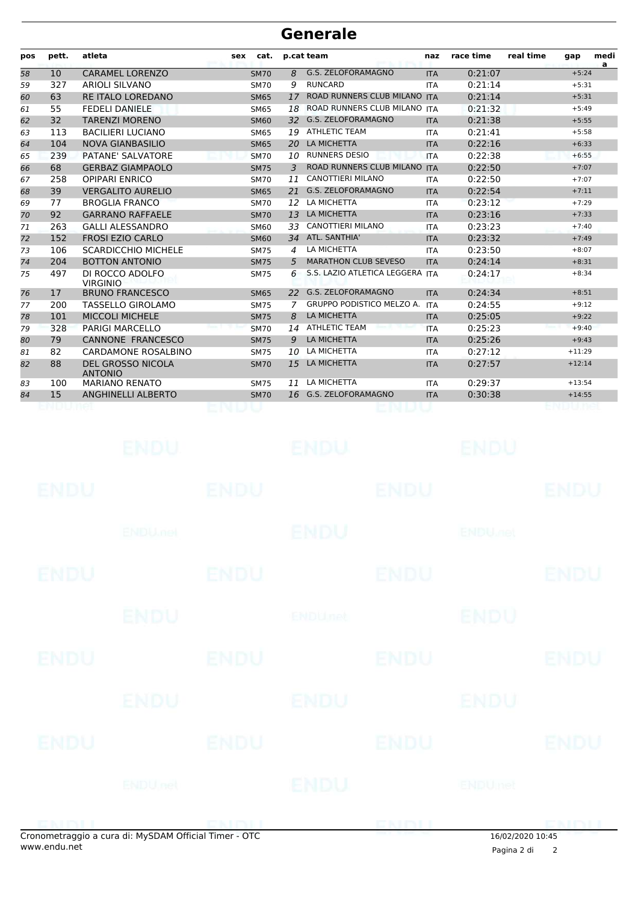| pos | pett. | atleta                                     | sex | cat.        |                | p.cat team                       | naz        | race time | real time | gap      | medi<br>$\mathbf{a}$ |
|-----|-------|--------------------------------------------|-----|-------------|----------------|----------------------------------|------------|-----------|-----------|----------|----------------------|
| 58  | 10    | <b>CARAMEL LORENZO</b>                     |     | <b>SM70</b> | 8              | G.S. ZELOFORAMAGNO               | <b>ITA</b> | 0:21:07   |           | $+5:24$  |                      |
| 59  | 327   | <b>ARIOLI SILVANO</b>                      |     | <b>SM70</b> | 9              | <b>RUNCARD</b>                   | <b>ITA</b> | 0:21:14   |           | $+5:31$  |                      |
| 60  | 63    | <b>RE ITALO LOREDANO</b>                   |     | <b>SM65</b> | 17             | ROAD RUNNERS CLUB MILANO ITA     |            | 0:21:14   |           | $+5:31$  |                      |
| 61  | 55    | <b>FEDELI DANIELE</b>                      |     | <b>SM65</b> | 18             | ROAD RUNNERS CLUB MILANO         | <b>ITA</b> | 0:21:32   |           | $+5:49$  |                      |
| 62  | 32    | <b>TARENZI MORENO</b>                      |     | <b>SM60</b> | 32             | G.S. ZELOFORAMAGNO               | <b>ITA</b> | 0:21:38   |           | $+5:55$  |                      |
| 63  | 113   | <b>BACILIERI LUCIANO</b>                   |     | <b>SM65</b> | 19             | <b>ATHLETIC TEAM</b>             | <b>ITA</b> | 0:21:41   |           | $+5:58$  |                      |
| 64  | 104   | <b>NOVA GIANBASILIO</b>                    |     | <b>SM65</b> | <b>20</b>      | LA MICHETTA                      | <b>ITA</b> | 0:22:16   |           | $+6:33$  |                      |
| 65  | 239   | PATANE' SALVATORE                          |     | <b>SM70</b> | 10             | <b>RUNNERS DESIO</b>             | <b>ITA</b> | 0:22:38   |           | $+6:55$  |                      |
| 66  | 68    | <b>GERBAZ GIAMPAOLO</b>                    |     | <b>SM75</b> | 3              | <b>ROAD RUNNERS CLUB MILANO</b>  | <b>ITA</b> | 0:22:50   |           | $+7:07$  |                      |
| 67  | 258   | <b>OPIPARI ENRICO</b>                      |     | <b>SM70</b> | 11             | <b>CANOTTIERI MILANO</b>         | <b>ITA</b> | 0:22:50   |           | $+7:07$  |                      |
| 68  | 39    | <b>VERGALITO AURELIO</b>                   |     | <b>SM65</b> | 21             | G.S. ZELOFORAMAGNO               | <b>ITA</b> | 0:22:54   |           | $+7:11$  |                      |
| 69  | 77    | <b>BROGLIA FRANCO</b>                      |     | <b>SM70</b> | 12             | LA MICHETTA                      | <b>ITA</b> | 0:23:12   |           | $+7:29$  |                      |
| 70  | 92    | <b>GARRANO RAFFAELE</b>                    |     | <b>SM70</b> | 13             | LA MICHETTA                      | <b>ITA</b> | 0:23:16   |           | $+7:33$  |                      |
| 71  | 263   | <b>GALLI ALESSANDRO</b>                    |     | <b>SM60</b> | 33             | <b>CANOTTIERI MILANO</b>         | <b>ITA</b> | 0:23:23   |           | $+7:40$  |                      |
| 72  | 152   | <b>FROSI EZIO CARLO</b>                    |     | <b>SM60</b> | 34             | ATL. SANTHIA'                    | <b>ITA</b> | 0:23:32   |           | $+7:49$  |                      |
| 73  | 106   | <b>SCARDICCHIO MICHELE</b>                 |     | <b>SM75</b> | $\overline{a}$ | LA MICHETTA                      | <b>ITA</b> | 0:23:50   |           | $+8:07$  |                      |
| 74  | 204   | <b>BOTTON ANTONIO</b>                      |     | <b>SM75</b> | 5              | <b>MARATHON CLUB SEVESO</b>      | <b>ITA</b> | 0:24:14   |           | $+8:31$  |                      |
| 75  | 497   | DI ROCCO ADOLFO<br><b>VIRGINIO</b>         |     | <b>SM75</b> | 6              | S.S. LAZIO ATLETICA LEGGERA ITA  |            | 0:24:17   |           | $+8:34$  |                      |
| 76  | 17    | <b>BRUNO FRANCESCO</b>                     |     | <b>SM65</b> | 22             | G.S. ZELOFORAMAGNO               | <b>ITA</b> | 0:24:34   |           | $+8:51$  |                      |
| 77  | 200   | <b>TASSELLO GIROLAMO</b>                   |     | <b>SM75</b> | 7              | <b>GRUPPO PODISTICO MELZO A.</b> | <b>ITA</b> | 0:24:55   |           | $+9:12$  |                      |
| 78  | 101   | <b>MICCOLI MICHELE</b>                     |     | <b>SM75</b> | 8              | LA MICHETTA                      | <b>ITA</b> | 0:25:05   |           | $+9:22$  |                      |
| 79  | 328   | <b>PARIGI MARCELLO</b>                     |     | <b>SM70</b> | 14             | <b>ATHLETIC TEAM</b>             | <b>ITA</b> | 0:25:23   |           | $+9:40$  |                      |
| 80  | 79    | <b>CANNONE FRANCESCO</b>                   |     | <b>SM75</b> | 9              | LA MICHETTA                      | <b>ITA</b> | 0:25:26   |           | $+9:43$  |                      |
| 81  | 82    | <b>CARDAMONE ROSALBINO</b>                 |     | <b>SM75</b> | 10             | LA MICHETTA                      | <b>ITA</b> | 0:27:12   |           | $+11:29$ |                      |
| 82  | 88    | <b>DEL GROSSO NICOLA</b><br><b>ANTONIO</b> |     | <b>SM70</b> | 15             | LA MICHETTA                      | <b>ITA</b> | 0:27:57   |           | $+12:14$ |                      |
| 83  | 100   | <b>MARIANO RENATO</b>                      |     | <b>SM75</b> | 11             | LA MICHETTA                      | <b>ITA</b> | 0:29:37   |           | $+13:54$ |                      |
| 84  | 15    | ANGHINELLI ALBERTO                         |     | <b>SM70</b> |                | 16 G.S. ZELOFORAMAGNO            | <b>ITA</b> | 0:30:38   |           | $+14:55$ |                      |
|     |       |                                            |     |             |                |                                  |            |           |           |          |                      |

| <b>Contract</b> | $\mathbf{r}$ as considered in $\mathbf{r}$ | $\sim$      |                | <b>ENTST</b> |                           | <b>CMMI</b> |
|-----------------|--------------------------------------------|-------------|----------------|--------------|---------------------------|-------------|
|                 | <b>ENDUnet</b>                             |             | ENDU           |              | ENDUmet                   |             |
| <b>ENDU</b>     |                                            | <b>ENDU</b> |                | <b>ENDU</b>  |                           | <b>ENDU</b> |
|                 | <b>ENDU</b>                                |             | ENDU           |              | ENDU                      |             |
| ENDU            |                                            | <b>ENDU</b> |                | <b>ENDU</b>  |                           | <b>ENDU</b> |
|                 | <b>ENDU</b>                                |             | <b>ENDUnet</b> |              | <b>ENDU</b>               |             |
| <b>ENDU</b>     |                                            | <b>ENDU</b> |                | <b>ENDU</b>  |                           | <b>ENDU</b> |
|                 | <b>ENDU<sub>met</sub></b>                  |             | ENDU           |              | <b>ENDU<sub>DER</sub></b> |             |
| <b>ENDU</b>     |                                            | <b>ENDU</b> |                | <b>ENDU</b>  |                           | <b>ENDU</b> |
|                 | <b>ENDU</b>                                |             | <b>ENDU</b>    |              | ENDU                      |             |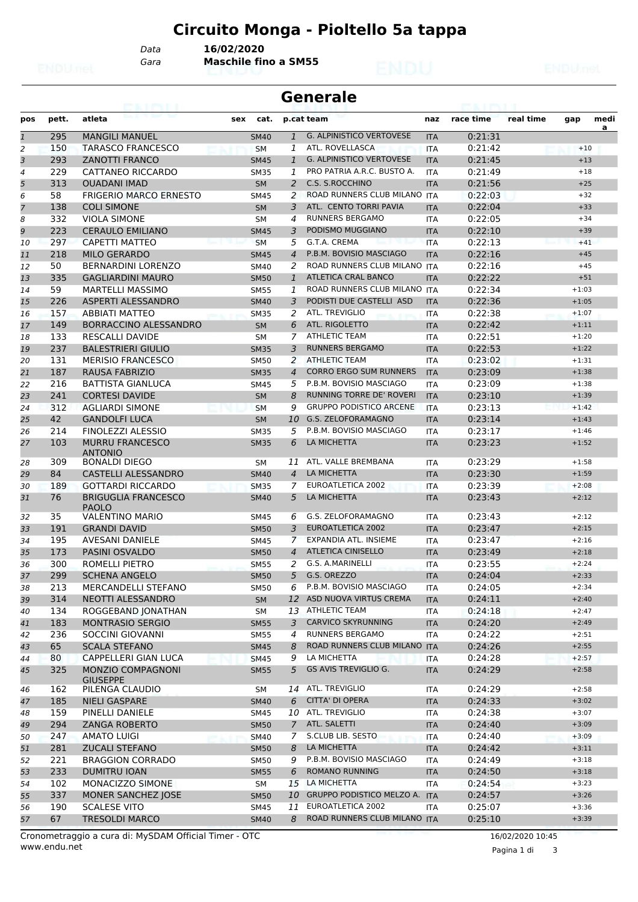# **Circuito Monga - Pioltello 5a tappa**

*Data* **16/02/2020**

*Gara* **Maschile fino a SM55**

#### **Generale**

| pos            | pett. | atleta                                      | cat.<br>sex |                | p.cat team                       | naz        | race time | real time | gap     | medi |
|----------------|-------|---------------------------------------------|-------------|----------------|----------------------------------|------------|-----------|-----------|---------|------|
| $\overline{1}$ | 295   | <b>MANGILI MANUEL</b>                       | <b>SM40</b> | $\mathbf{1}$   | <b>G. ALPINISTICO VERTOVESE</b>  | <b>ITA</b> | 0:21:31   |           |         | a    |
| $\overline{2}$ | 150   | <b>TARASCO FRANCESCO</b>                    | <b>SM</b>   | 1              | ATL. ROVELLASCA                  | <b>ITA</b> | 0:21:42   |           | $+10$   |      |
| 3              | 293   | <b>ZANOTTI FRANCO</b>                       | <b>SM45</b> | $\mathbf{1}$   | <b>G. ALPINISTICO VERTOVESE</b>  | <b>ITA</b> | 0:21:45   |           | $+13$   |      |
| $\overline{4}$ | 229   | CATTANEO RICCARDO                           | <b>SM35</b> | 1              | PRO PATRIA A.R.C. BUSTO A.       | <b>ITA</b> | 0:21:49   |           | $+18$   |      |
| 5              | 313   | <b>OUADANI IMAD</b>                         | <b>SM</b>   | $\overline{2}$ | C.S. S.ROCCHINO                  | <b>ITA</b> | 0:21:56   |           | $+25$   |      |
| 6              | 58    | <b>FRIGERIO MARCO ERNESTO</b>               | <b>SM45</b> | 2              | ROAD RUNNERS CLUB MILANO ITA     |            | 0:22:03   |           | $+32$   |      |
| $\overline{7}$ | 138   | <b>COLI SIMONE</b>                          | <b>SM</b>   | 3              | ATL. CENTO TORRI PAVIA           | <b>ITA</b> | 0:22:04   |           | $+33$   |      |
| 8              | 332   | <b>VIOLA SIMONE</b>                         | <b>SM</b>   | 4              | <b>RUNNERS BERGAMO</b>           | <b>ITA</b> | 0:22:05   |           | $+34$   |      |
| 9              | 223   | <b>CERAULO EMILIANO</b>                     | <b>SM45</b> | 3              | PODISMO MUGGIANO                 | <b>ITA</b> | 0:22:10   |           | $+39$   |      |
| 10             | 297   | CAPETTI MATTEO                              | <b>SM</b>   | 5              | G.T.A. CREMA                     | <b>ITA</b> | 0:22:13   |           | $+41$   |      |
| 11             | 218   | <b>MILO GERARDO</b>                         | <b>SM45</b> | $\overline{4}$ | P.B.M. BOVISIO MASCIAGO          | <b>ITA</b> | 0:22:16   |           | $+45$   |      |
| 12             | 50    | <b>BERNARDINI LORENZO</b>                   | <b>SM40</b> | 2              | ROAD RUNNERS CLUB MILANO ITA     |            | 0:22:16   |           | $+45$   |      |
| 13             | 335   | <b>GAGLIARDINI MAURO</b>                    | <b>SM50</b> | $\mathbf{1}$   | <b>ATLETICA CRAL BANCO</b>       | <b>ITA</b> | 0:22:22   |           | $+51$   |      |
| 14             | 59    | <b>MARTELLI MASSIMO</b>                     | <b>SM55</b> | 1              | ROAD RUNNERS CLUB MILANO ITA     |            | 0:22:34   |           | $+1:03$ |      |
| 15             | 226   | ASPERTI ALESSANDRO                          | <b>SM40</b> | 3              | PODISTI DUE CASTELLI ASD         | <b>ITA</b> | 0:22:36   |           | $+1:05$ |      |
| 16             | 157   | <b>ABBIATI MATTEO</b>                       | <b>SM35</b> | 2              | ATL. TREVIGLIO                   | <b>ITA</b> | 0:22:38   |           | $+1:07$ |      |
| 17             | 149   | <b>BORRACCINO ALESSANDRO</b>                | <b>SM</b>   | 6              | ATL. RIGOLETTO                   | <b>ITA</b> | 0:22:42   |           | $+1:11$ |      |
| 18             | 133   | <b>RESCALLI DAVIDE</b>                      | SM          | 7              | <b>ATHLETIC TEAM</b>             | <b>ITA</b> | 0:22:51   |           | $+1:20$ |      |
| 19             | 237   | <b>BALESTRIERI GIULIO</b>                   | <b>SM35</b> | 3              | <b>RUNNERS BERGAMO</b>           | <b>ITA</b> | 0:22:53   |           | $+1:22$ |      |
| 20             | 131   | <b>MERISIO FRANCESCO</b>                    | <b>SM50</b> | 2              | <b>ATHLETIC TEAM</b>             | <b>ITA</b> | 0:23:02   |           | $+1:31$ |      |
| 21             | 187   | <b>RAUSA FABRIZIO</b>                       | <b>SM35</b> | $\overline{4}$ | <b>CORRO ERGO SUM RUNNERS</b>    | <b>ITA</b> | 0:23:09   |           | $+1:38$ |      |
| 22             | 216   | <b>BATTISTA GIANLUCA</b>                    | <b>SM45</b> | 5              | P.B.M. BOVISIO MASCIAGO          | <b>ITA</b> | 0:23:09   |           | $+1:38$ |      |
| 23             | 241   | <b>CORTESI DAVIDE</b>                       | <b>SM</b>   | 8              | RUNNING TORRE DE' ROVERI         | <b>ITA</b> | 0:23:10   |           | $+1:39$ |      |
| 24             | 312   | <b>AGLIARDI SIMONE</b>                      | <b>SM</b>   | 9              | <b>GRUPPO PODISTICO ARCENE</b>   | <b>ITA</b> | 0:23:13   |           | $+1:42$ |      |
| 25             | 42    | <b>GANDOLFI LUCA</b>                        | <b>SM</b>   | 10             | G.S. ZELOFORAMAGNO               | <b>ITA</b> | 0:23:14   |           | $+1:43$ |      |
| 26             | 214   | <b>FINOLEZZI ALESSIO</b>                    | <b>SM35</b> | 5              | P.B.M. BOVISIO MASCIAGO          | <b>ITA</b> | 0:23:17   |           | $+1:46$ |      |
| 27             | 103   | <b>MURRU FRANCESCO</b>                      | <b>SM35</b> | 6              | LA MICHETTA                      | <b>ITA</b> | 0:23:23   |           | $+1:52$ |      |
| 28             | 309   | <b>ANTONIO</b><br><b>BONALDI DIEGO</b>      | <b>SM</b>   | <b>11</b>      | ATL. VALLE BREMBANA              | <b>ITA</b> | 0:23:29   |           | $+1:58$ |      |
| 29             | 84    | <b>CASTELLI ALESSANDRO</b>                  | <b>SM40</b> | $\overline{4}$ | LA MICHETTA                      | <b>ITA</b> | 0:23:30   |           | $+1:59$ |      |
| 30             | 189   | <b>GOTTARDI RICCARDO</b>                    | <b>SM35</b> | 7              | EUROATLETICA 2002                | <b>ITA</b> | 0:23:39   |           | $+2:08$ |      |
| 31             | 76    | <b>BRIGUGLIA FRANCESCO</b><br><b>PAOLO</b>  | <b>SM40</b> | 5              | LA MICHETTA                      | <b>ITA</b> | 0:23:43   |           | $+2:12$ |      |
| 32             | 35    | <b>VALENTINO MARIO</b>                      | <b>SM45</b> | 6              | G.S. ZELOFORAMAGNO               | <b>ITA</b> | 0:23:43   |           | $+2:12$ |      |
| 33             | 191   | <b>GRANDI DAVID</b>                         | <b>SM50</b> | 3              | <b>EUROATLETICA 2002</b>         | <b>ITA</b> | 0:23:47   |           | $+2:15$ |      |
| 34             | 195   | <b>AVESANI DANIELE</b>                      | <b>SM45</b> | 7              | EXPANDIA ATL. INSIEME            | <b>ITA</b> | 0:23:47   |           | $+2:16$ |      |
| 35             | 173   | PASINI OSVALDO                              | <b>SM50</b> | $\overline{4}$ | <b>ATLETICA CINISELLO</b>        | <b>ITA</b> | 0:23:49   |           | $+2:18$ |      |
| 36             | 300   | ROMELLI PIETRO                              | <b>SM55</b> | 2              | G.S. A.MARINELLI                 | <b>ITA</b> | 0:23:55   |           | $+2:24$ |      |
| 37             | 299   | <b>SCHENA ANGELO</b>                        | <b>SM50</b> | 5              | G.S. OREZZO                      | <b>ITA</b> | 0:24:04   |           | $+2:33$ |      |
| 38             | 213   | MERCANDELLI STEFANO                         | <b>SM50</b> | 6 <sup>1</sup> | P.B.M. BOVISIO MASCIAGO          | <b>ITA</b> | 0:24:05   |           | $+2:34$ |      |
| 39             | 314   | NEOTTI ALESSANDRO                           | <b>SM</b>   |                | 12 ASD NUOVA VIRTUS CREMA        | <b>ITA</b> | 0:24:11   |           | $+2:40$ |      |
| 40             | 134   | ROGGEBAND JONATHAN                          | SM          |                | 13 ATHLETIC TEAM                 | ITA        | 0:24:18   |           | $+2:47$ |      |
| 41             | 183   | <b>MONTRASIO SERGIO</b>                     | <b>SM55</b> | 3              | <b>CARVICO SKYRUNNING</b>        | <b>ITA</b> | 0:24:20   |           | $+2:49$ |      |
| 42             | 236   | SOCCINI GIOVANNI                            | <b>SM55</b> | 4              | RUNNERS BERGAMO                  | <b>ITA</b> | 0:24:22   |           | $+2:51$ |      |
| 43             | 65    | <b>SCALA STEFANO</b>                        | <b>SM45</b> | 8              | ROAD RUNNERS CLUB MILANO ITA     |            | 0:24:26   |           | $+2:55$ |      |
| 44             | 80    | <b>CAPPELLERI GIAN LUCA</b>                 | <b>SM45</b> | 9              | LA MICHETTA                      | ITA        | 0:24:28   |           | $+2:57$ |      |
| 45             | 325   | <b>MONZIO COMPAGNONI</b><br><b>GIUSEPPE</b> | <b>SM55</b> | 5              | GS AVIS TREVIGLIO G.             | <b>ITA</b> | 0:24:29   |           | $+2:58$ |      |
| 46             | 162   | PILENGA CLAUDIO                             | SM          |                | 14 ATL. TREVIGLIO                | ITA        | 0:24:29   |           | $+2:58$ |      |
| 47             | 185   | <b>NIELI GASPARE</b>                        | <b>SM40</b> | 6              | <b>CITTA' DI OPERA</b>           | <b>ITA</b> | 0:24:33   |           | $+3:02$ |      |
| 48             | 159   | PINELLI DANIELE                             | SM45        |                | 10 ATL. TREVIGLIO                | <b>ITA</b> | 0:24:38   |           | $+3:07$ |      |
| 49             | 294   | <b>ZANGA ROBERTO</b>                        | <b>SM50</b> |                | 7 ATL. SALETTI                   | <b>ITA</b> | 0:24:40   |           | $+3:09$ |      |
| 50             | 247   | <b>AMATO LUIGI</b>                          | <b>SM40</b> | 7              | S.CLUB LIB. SESTO                | <b>ITA</b> | 0:24:40   |           | $+3:09$ |      |
| 51             | 281   | <b>ZUCALI STEFANO</b>                       | <b>SM50</b> | 8              | LA MICHETTA                      | <b>ITA</b> | 0:24:42   |           | $+3:11$ |      |
| 52             | 221   | <b>BRAGGION CORRADO</b>                     | <b>SM50</b> | 9              | P.B.M. BOVISIO MASCIAGO          | ITA        | 0:24:49   |           | $+3:18$ |      |
| 53             | 233   | <b>DUMITRU IOAN</b>                         | <b>SM55</b> | 6              | <b>ROMANO RUNNING</b>            | <b>ITA</b> | 0:24:50   |           | $+3:18$ |      |
| 54             | 102   | MONACIZZO SIMONE                            | SM          |                | 15 LA MICHETTA                   | <b>ITA</b> | 0:24:54   |           | $+3:23$ |      |
| 55             | 337   | MONER SANCHEZ JOSE                          | <b>SM50</b> |                | 10 GRUPPO PODISTICO MELZO A. ITA |            | 0:24:57   |           | $+3:26$ |      |
| 56             | 190   | <b>SCALESE VITO</b>                         | SM45        | 11             | EUROATLETICA 2002                | <b>ITA</b> | 0:25:07   |           | $+3:36$ |      |
| 57             | 67    | <b>TRESOLDI MARCO</b>                       | <b>SM40</b> | 8              | ROAD RUNNERS CLUB MILANO ITA     |            | 0:25:10   |           | $+3:39$ |      |
|                |       |                                             |             |                |                                  |            |           |           |         |      |

Pagina 1 di 3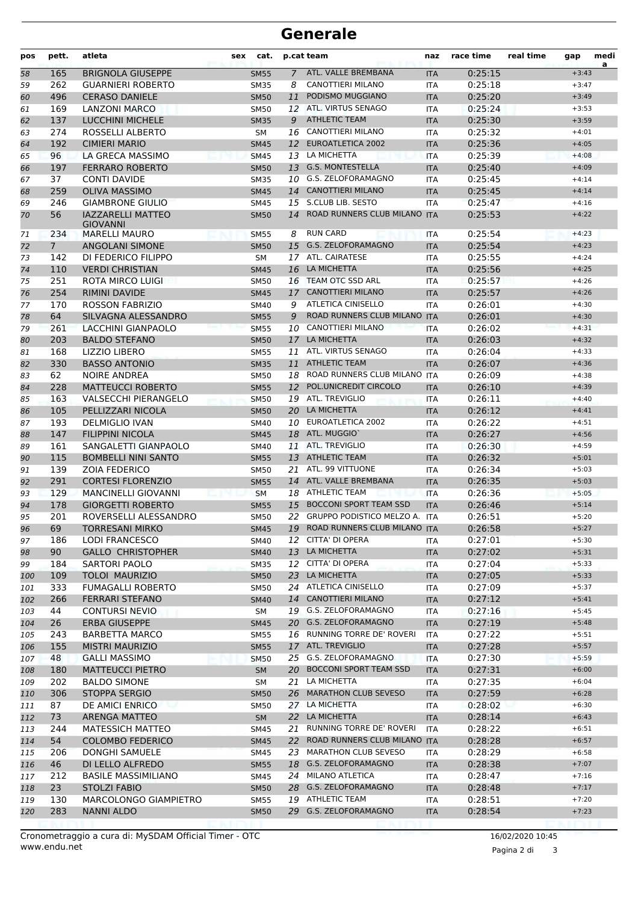| pos | pett.       | atleta                                             | sex | cat.        |             | p.cat team                           | naz        | race time          | real time | gap                | medi<br>a |
|-----|-------------|----------------------------------------------------|-----|-------------|-------------|--------------------------------------|------------|--------------------|-----------|--------------------|-----------|
| 58  | 165         | <b>BRIGNOLA GIUSEPPE</b>                           |     | <b>SM55</b> | $7^{\circ}$ | ATL. VALLE BREMBANA                  | <b>ITA</b> | 0:25:15            |           | $+3:43$            |           |
| 59  | 262         | <b>GUARNIERI ROBERTO</b>                           |     | <b>SM35</b> | 8           | CANOTTIERI MILANO                    | <b>ITA</b> | 0:25:18            |           | $+3:47$            |           |
| 60  | 496         | <b>CERASO DANIELE</b>                              |     | <b>SM50</b> | 11          | PODISMO MUGGIANO                     | <b>ITA</b> | 0:25:20            |           | $+3:49$            |           |
| 61  | 169         | <b>LANZONI MARCO</b>                               |     | SM50        |             | 12 ATL. VIRTUS SENAGO                | <b>ITA</b> | 0:25:24            |           | $+3:53$            |           |
| 62  | 137         | <b>LUCCHINI MICHELE</b>                            |     | <b>SM35</b> | 9           | <b>ATHLETIC TEAM</b>                 | <b>ITA</b> | 0:25:30            |           | $+3:59$            |           |
| 63  | 274         | ROSSELLI ALBERTO                                   |     | <b>SM</b>   |             | 16 CANOTTIERI MILANO                 | <b>ITA</b> | 0:25:32            |           | $+4:01$            |           |
| 64  | 192         | <b>CIMIERI MARIO</b>                               |     | <b>SM45</b> | 12          | <b>EUROATLETICA 2002</b>             | <b>ITA</b> | 0:25:36            |           | $+4:05$            |           |
| 65  | 96          | LA GRECA MASSIMO                                   |     | <b>SM45</b> |             | 13 LA MICHETTA                       | <b>ITA</b> | 0:25:39            |           | $+4:08$            |           |
| 66  | 197         | <b>FERRARO ROBERTO</b>                             |     | <b>SM50</b> |             | 13 G.S. MONTESTELLA                  | <b>ITA</b> | 0:25:40            |           | $+4:09$            |           |
| 67  | 37          | <b>CONTI DAVIDE</b>                                |     | <b>SM35</b> | 10          | <b>G.S. ZELOFORAMAGNO</b>            | <b>ITA</b> | 0:25:45            |           | $+4:14$            |           |
| 68  | 259         | <b>OLIVA MASSIMO</b>                               |     | <b>SM45</b> |             | 14 CANOTTIERI MILANO                 | <b>ITA</b> | 0:25:45            |           | $+4:14$            |           |
| 69  | 246         | <b>GIAMBRONE GIULIO</b>                            |     | SM45        |             | 15 S.CLUB LIB. SESTO                 | <b>ITA</b> | 0:25:47            |           | $+4:16$            |           |
| 70  | 56          | <b>IAZZARELLI MATTEO</b><br><b>GIOVANNI</b>        |     | <b>SM50</b> | 14          | ROAD RUNNERS CLUB MILANO ITA         |            | 0:25:53            |           | $+4:22$            |           |
| 71  | 234         | <b>MARELLI MAURO</b>                               |     | <b>SM55</b> | 8           | <b>RUN CARD</b>                      | ITA        | 0:25:54            |           | $+4:23$            |           |
| 72  | $7^{\circ}$ | <b>ANGOLANI SIMONE</b>                             |     | <b>SM50</b> |             | 15 G.S. ZELOFORAMAGNO                | <b>ITA</b> | 0:25:54            |           | $+4:23$            |           |
| 73  | 142         | DI FEDERICO FILIPPO                                |     | <b>SM</b>   |             | 17 ATL. CAIRATESE                    | <b>ITA</b> | 0:25:55            |           | $+4:24$            |           |
| 74  | 110         | <b>VERDI CHRISTIAN</b>                             |     | <b>SM45</b> | 16          | LA MICHETTA                          | <b>ITA</b> | 0:25:56            |           | $+4:25$            |           |
| 75  | 251         | ROTA MIRCO LUIGI                                   |     | <b>SM50</b> |             | 16 TEAM OTC SSD ARL                  | <b>ITA</b> | 0:25:57            |           | $+4:26$            |           |
| 76  | 254         | <b>RIMINI DAVIDE</b>                               |     | <b>SM45</b> | 17          | <b>CANOTTIERI MILANO</b>             | <b>ITA</b> | 0:25:57            |           | $+4:26$            |           |
| 77  | 170         | <b>ROSSON FABRIZIO</b>                             |     | SM40        | 9           | <b>ATLETICA CINISELLO</b>            | <b>ITA</b> | 0:26:01            |           | $+4:30$            |           |
| 78  | 64          | SILVAGNA ALESSANDRO                                |     | <b>SM55</b> | 9           | ROAD RUNNERS CLUB MILANO ITA         |            | 0:26:01            |           | $+4:30$            |           |
| 79  | 261         | LACCHINI GIANPAOLO                                 |     | <b>SM55</b> |             | 10 CANOTTIERI MILANO                 | <b>ITA</b> | 0:26:02            |           | $+4:31$            |           |
| 80  | 203         | <b>BALDO STEFANO</b>                               |     | <b>SM50</b> | 17          | LA MICHETTA                          | <b>ITA</b> | 0:26:03            |           | $+4:32$            |           |
| 81  | 168         | LIZZIO LIBERO                                      |     | <b>SM55</b> | 11          | ATL. VIRTUS SENAGO                   | <b>ITA</b> | 0:26:04            |           | $+4:33$            |           |
| 82  | 330         | <b>BASSO ANTONIO</b>                               |     | <b>SM35</b> | 11          | <b>ATHLETIC TEAM</b>                 | <b>ITA</b> | 0:26:07            |           | $+4:36$            |           |
| 83  | 62          | <b>NOIRE ANDREA</b>                                |     | SM50        |             | 18 ROAD RUNNERS CLUB MILANO ITA      |            | 0:26:09            |           | $+4:38$            |           |
| 84  | 228         | <b>MATTEUCCI ROBERTO</b>                           |     | <b>SM55</b> |             | 12 POL.UNICREDIT CIRCOLO             | <b>ITA</b> | 0:26:10            |           | $+4:39$            |           |
| 85  | 163         | <b>VALSECCHI PIERANGELO</b>                        |     | <b>SM50</b> |             | 19 ATL. TREVIGLIO                    | <b>ITA</b> | 0:26:11            |           | $+4:40$            |           |
| 86  | 105         | PELLIZZARI NICOLA                                  |     | <b>SM50</b> | 20          | LA MICHETTA                          | <b>ITA</b> | 0:26:12            |           | $+4:41$            |           |
| 87  | 193         | <b>DELMIGLIO IVAN</b>                              |     | SM40        |             | 10 EUROATLETICA 2002                 | <b>ITA</b> | 0:26:22            |           | $+4:51$            |           |
|     | 147         | <b>FILIPPINI NICOLA</b>                            |     | <b>SM45</b> |             | 18 ATL. MUGGIO'                      | <b>ITA</b> | 0:26:27            |           | $+4:56$            |           |
| 88  | 161         | SANGALETTI GIANPAOLO                               |     |             |             | 11 ATL. TREVIGLIO                    |            | 0:26:30            |           | $+4:59$            |           |
| 89  |             |                                                    |     | SM40        |             | 13 ATHLETIC TEAM                     | <b>ITA</b> |                    |           |                    |           |
| 90  | 115<br>139  | <b>BOMBELLI NINI SANTO</b><br><b>ZOIA FEDERICO</b> |     | <b>SM55</b> |             | 21 ATL. 99 VITTUONE                  | <b>ITA</b> | 0:26:32            |           | $+5:01$<br>$+5:03$ |           |
| 91  |             |                                                    |     | SM50        |             | 14 ATL. VALLE BREMBANA               | <b>ITA</b> | 0:26:34            |           |                    |           |
| 92  | 291         | <b>CORTESI FLORENZIO</b>                           |     | <b>SM55</b> |             | 18 ATHLETIC TEAM                     | <b>ITA</b> | 0:26:35            |           | $+5:03$<br>$+5:05$ |           |
| 93  | 129<br>178  | <b>MANCINELLI GIOVANNI</b>                         |     | <b>SM</b>   |             | <b>BOCCONI SPORT TEAM SSD</b>        | <b>ITA</b> | 0:26:36            |           | $+5:14$            |           |
| 94  | 201         | <b>GIORGETTI ROBERTO</b><br>ROVERSELLI ALESSANDRO  |     | <b>SM55</b> | 15          | 22 GRUPPO PODISTICO MELZO A. ITA     | <b>ITA</b> | 0:26:46            |           |                    |           |
| 95  | 69          | <b>TORRESANI MIRKO</b>                             |     | SM50        |             | 19 ROAD RUNNERS CLUB MILANO ITA      |            | 0:26:51<br>0:26:58 |           | $+5:20$            |           |
| 96  |             | <b>LODI FRANCESCO</b>                              |     | SM45        |             | 12 CITTA' DI OPERA                   |            |                    |           | $+5:27$<br>$+5:30$ |           |
| 97  | 186         |                                                    |     | SM40        |             | 13 LA MICHETTA                       | ITA        | 0:27:01            |           |                    |           |
| 98  | 90          | <b>GALLO CHRISTOPHER</b>                           |     | <b>SM40</b> |             |                                      | <b>ITA</b> | 0:27:02            |           | $+5:31$            |           |
| 99  | 184         | SARTORI PAOLO                                      |     | <b>SM35</b> |             | 12 CITTA' DI OPERA<br>23 LA MICHETTA | ITA        | 0:27:04            |           | $+5:33$            |           |
| 100 | 109         | <b>TOLOI MAURIZIO</b>                              |     | <b>SM50</b> |             | 24 ATLETICA CINISELLO                | <b>ITA</b> | 0:27:05            |           | $+5:33$            |           |
| 101 | 333         | <b>FUMAGALLI ROBERTO</b>                           |     | SM50        |             |                                      | <b>ITA</b> | 0:27:09            |           | $+5:37$            |           |
| 102 | 266         | <b>FERRARI STEFANO</b>                             |     | <b>SM40</b> |             | 14 CANOTTIERI MILANO                 | <b>ITA</b> | 0:27:12            |           | $+5:41$            |           |
| 103 | 44          | <b>CONTURSI NEVIO</b>                              |     | SM          |             | 19 G.S. ZELOFORAMAGNO                | ITA        | 0:27:16            |           | $+5:45$            |           |
| 104 | 26          | <b>ERBA GIUSEPPE</b>                               |     | <b>SM45</b> |             | 20 G.S. ZELOFORAMAGNO                | <b>ITA</b> | 0:27:19            |           | $+5:48$            |           |
| 105 | 243         | <b>BARBETTA MARCO</b>                              |     | SM55        |             | 16 RUNNING TORRE DE' ROVERI          | <b>ITA</b> | 0:27:22            |           | $+5:51$            |           |
| 106 | 155         | <b>MISTRI MAURIZIO</b>                             |     | <b>SM55</b> |             | 17 ATL. TREVIGLIO                    | <b>ITA</b> | 0:27:28            |           | $+5:57$            |           |
| 107 | 48          | <b>GALLI MASSIMO</b>                               |     | <b>SM50</b> |             | 25 G.S. ZELOFORAMAGNO                | <b>ITA</b> | 0:27:30            |           | $+5:59$            |           |
| 108 | 180         | <b>MATTEUCCI PIETRO</b>                            |     | <b>SM</b>   |             | 20 BOCCONI SPORT TEAM SSD            | <b>ITA</b> | 0:27:31            |           | $+6:00$            |           |
| 109 | 202         | <b>BALDO SIMONE</b>                                |     | SM          |             | 21 LA MICHETTA                       | ITA        | 0:27:35            |           | $+6:04$            |           |
| 110 | 306         | STOPPA SERGIO                                      |     | <b>SM50</b> |             | 26 MARATHON CLUB SEVESO              | <b>ITA</b> | 0:27:59            |           | $+6:28$            |           |
| 111 | 87          | DE AMICI ENRICO                                    |     | SM50        |             | 27 LA MICHETTA                       | ITA        | 0:28:02            |           | $+6:30$            |           |
| 112 | 73          | <b>ARENGA MATTEO</b>                               |     | <b>SM</b>   |             | 22 LA MICHETTA                       | <b>ITA</b> | 0:28:14            |           | $+6:43$            |           |
| 113 | 244         | <b>MATESSICH MATTEO</b>                            |     | SM45        |             | 21 RUNNING TORRE DE' ROVERI          | <b>ITA</b> | 0:28:22            |           | $+6:51$            |           |
| 114 | 54          | <b>COLOMBO FEDERICO</b>                            |     | <b>SM45</b> |             | 22 ROAD RUNNERS CLUB MILANO ITA      |            | 0:28:28            |           | $+6:57$            |           |
| 115 | 206         | DONGHI SAMUELE                                     |     | SM45        |             | 23 MARATHON CLUB SEVESO              | ITA        | 0:28:29            |           | $+6:58$            |           |
| 116 | 46          | DI LELLO ALFREDO                                   |     | <b>SM55</b> |             | 18 G.S. ZELOFORAMAGNO                | <b>ITA</b> | 0:28:38            |           | $+7:07$            |           |
| 117 | 212         | <b>BASILE MASSIMILIANO</b>                         |     | SM45        |             | 24 MILANO ATLETICA                   | ITA        | 0:28:47            |           | $+7:16$            |           |
| 118 | 23          | <b>STOLZI FABIO</b>                                |     | <b>SM50</b> |             | 28 G.S. ZELOFORAMAGNO                | <b>ITA</b> | 0:28:48            |           | $+7:17$            |           |
| 119 | 130         | MARCOLONGO GIAMPIETRO                              |     | SM55        |             | 19 ATHLETIC TEAM                     | ITA        | 0:28:51            |           | $+7:20$            |           |
| 120 | 283         | <b>NANNI ALDO</b>                                  |     | <b>SM50</b> |             | 29 G.S. ZELOFORAMAGNO                | <b>ITA</b> | 0:28:54            |           | $+7:23$            |           |
|     |             |                                                    |     |             |             |                                      |            |                    |           |                    |           |

Pagina 2 di 3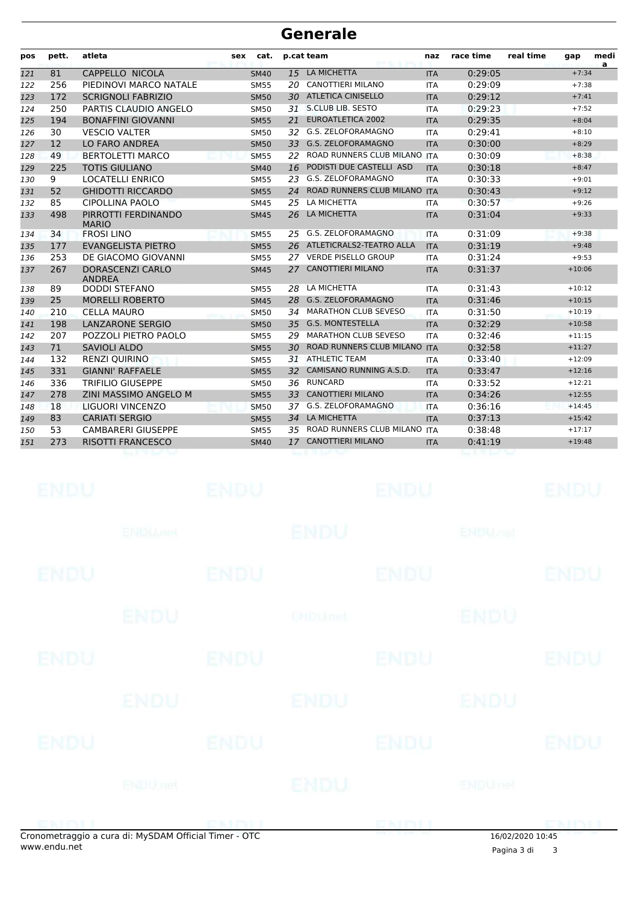| pos | pett. | atleta                                   | sex | cat.        |     | p.cat team                      | naz        | race time | real time | gap      | medi<br>a |
|-----|-------|------------------------------------------|-----|-------------|-----|---------------------------------|------------|-----------|-----------|----------|-----------|
| 121 | 81    | CAPPELLO NICOLA                          |     | <b>SM40</b> | 15  | LA MICHETTA                     | <b>ITA</b> | 0:29:05   |           | $+7:34$  |           |
| 122 | 256   | PIEDINOVI MARCO NATALE                   |     | <b>SM55</b> | 20  | <b>CANOTTIERI MILANO</b>        | <b>ITA</b> | 0:29:09   |           | $+7:38$  |           |
| 123 | 172   | <b>SCRIGNOLI FABRIZIO</b>                |     | <b>SM50</b> | 30  | <b>ATLETICA CINISELLO</b>       | <b>ITA</b> | 0:29:12   |           | $+7:41$  |           |
| 124 | 250   | PARTIS CLAUDIO ANGELO                    |     | <b>SM50</b> | 31  | S.CLUB LIB. SESTO               | <b>ITA</b> | 0:29:23   |           | $+7:52$  |           |
| 125 | 194   | <b>BONAFFINI GIOVANNI</b>                |     | <b>SM55</b> | 21  | <b>EUROATLETICA 2002</b>        | <b>ITA</b> | 0:29:35   |           | $+8:04$  |           |
| 126 | 30    | <b>VESCIO VALTER</b>                     |     | <b>SM50</b> | 32  | G.S. ZELOFORAMAGNO              | <b>ITA</b> | 0:29:41   |           | $+8:10$  |           |
| 127 | 12    | <b>LO FARO ANDREA</b>                    |     | <b>SM50</b> | 33  | G.S. ZELOFORAMAGNO              | <b>ITA</b> | 0:30:00   |           | $+8:29$  |           |
| 128 | 49    | <b>BERTOLETTI MARCO</b>                  |     | <b>SM55</b> | 22  | ROAD RUNNERS CLUB MILANO ITA    |            | 0:30:09   |           | $+8:38$  |           |
| 129 | 225   | <b>TOTIS GIULIANO</b>                    |     | <b>SM40</b> | 16  | PODISTI DUE CASTELLI ASD        | <b>ITA</b> | 0:30:18   |           | $+8:47$  |           |
| 130 | 9     | <b>LOCATELLI ENRICO</b>                  |     | <b>SM55</b> | 23  | G.S. ZELOFORAMAGNO              | <b>ITA</b> | 0:30:33   |           | $+9:01$  |           |
| 131 | 52    | <b>GHIDOTTI RICCARDO</b>                 |     | <b>SM55</b> | 24  | <b>ROAD RUNNERS CLUB MILANO</b> | <b>ITA</b> | 0:30:43   |           | $+9:12$  |           |
| 132 | 85    | <b>CIPOLLINA PAOLO</b>                   |     | <b>SM45</b> | 25  | LA MICHETTA                     | <b>ITA</b> | 0:30:57   |           | $+9:26$  |           |
| 133 | 498   | PIRROTTI FERDINANDO<br><b>MARIO</b>      |     | <b>SM45</b> | 26  | LA MICHETTA                     | <b>ITA</b> | 0:31:04   |           | $+9:33$  |           |
| 134 | 34    | <b>FROSILINO</b>                         |     | <b>SM55</b> | 25  | G.S. ZELOFORAMAGNO              | <b>ITA</b> | 0:31:09   |           | $+9:38$  |           |
| 135 | 177   | <b>EVANGELISTA PIETRO</b>                |     | <b>SM55</b> |     | 26 ATLETICRALS2-TEATRO ALLA     | <b>ITA</b> | 0:31:19   |           | $+9:48$  |           |
| 136 | 253   | DE GIACOMO GIOVANNI                      |     | <b>SM55</b> | 27. | <b>VERDE PISELLO GROUP</b>      | <b>ITA</b> | 0:31:24   |           | $+9:53$  |           |
| 137 | 267   | <b>DORASCENZI CARLO</b><br><b>ANDREA</b> |     | <b>SM45</b> | 27  | <b>CANOTTIERI MILANO</b>        | <b>ITA</b> | 0:31:37   |           | $+10:06$ |           |
| 138 | 89    | <b>DODDI STEFANO</b>                     |     | <b>SM55</b> | 28  | LA MICHETTA                     | <b>ITA</b> | 0:31:43   |           | $+10:12$ |           |
| 139 | 25    | <b>MORELLI ROBERTO</b>                   |     | <b>SM45</b> | 28  | G.S. ZELOFORAMAGNO              | <b>ITA</b> | 0:31:46   |           | $+10:15$ |           |
| 140 | 210   | <b>CELLA MAURO</b>                       |     | <b>SM50</b> | 34  | <b>MARATHON CLUB SEVESO</b>     | <b>ITA</b> | 0:31:50   |           | $+10:19$ |           |
| 141 | 198   | <b>LANZARONE SERGIO</b>                  |     | <b>SM50</b> | 35  | <b>G.S. MONTESTELLA</b>         | <b>ITA</b> | 0:32:29   |           | $+10:58$ |           |
| 142 | 207   | POZZOLI PIETRO PAOLO                     |     | <b>SM55</b> | 29  | <b>MARATHON CLUB SEVESO</b>     | <b>ITA</b> | 0:32:46   |           | $+11:15$ |           |
| 143 | 71    | <b>SAVIOLI ALDO</b>                      |     | <b>SM55</b> | 30  | ROAD RUNNERS CLUB MILANO ITA    |            | 0:32:58   |           | $+11:27$ |           |
| 144 | 132   | <b>RENZI QUIRINO</b>                     |     | <b>SM55</b> | 31  | <b>ATHLETIC TEAM</b>            | <b>ITA</b> | 0:33:40   |           | $+12:09$ |           |
| 145 | 331   | <b>GIANNI' RAFFAELE</b>                  |     | <b>SM55</b> | 32  | CAMISANO RUNNING A.S.D.         | <b>ITA</b> | 0:33:47   |           | $+12:16$ |           |
| 146 | 336   | <b>TRIFILIO GIUSEPPE</b>                 |     | <b>SM50</b> | 36  | <b>RUNCARD</b>                  | <b>ITA</b> | 0:33:52   |           | $+12:21$ |           |
| 147 | 278   | ZINI MASSIMO ANGELO M                    |     | <b>SM55</b> | 33  | <b>CANOTTIERI MILANO</b>        | <b>ITA</b> | 0:34:26   |           | $+12:55$ |           |
| 148 | 18    | LIGUORI VINCENZO                         |     | <b>SM50</b> | 37  | G.S. ZELOFORAMAGNO              | <b>ITA</b> | 0:36:16   |           | $+14:45$ |           |
| 149 | 83    | <b>CARIATI SERGIO</b>                    |     | <b>SM55</b> | 34  | LA MICHETTA                     | <b>ITA</b> | 0:37:13   |           | $+15:42$ |           |
| 150 | 53    | <b>CAMBARERI GIUSEPPE</b>                |     | <b>SM55</b> | 35  | ROAD RUNNERS CLUB MILANO ITA    |            | 0:38:48   |           | $+17:17$ |           |
| 151 | 273   | <b>RISOTTI FRANCESCO</b>                 |     | <b>SM40</b> | 17  | <b>CANOTTIERI MILANO</b>        | <b>ITA</b> | 0:41:19   |           | $+19:48$ |           |
|     |       |                                          |     |             |     |                                 |            |           |           |          |           |

|             | onometraggio a cura di: MySDAM Official Timer - OTC |             |             |             | 16/02/2020 10:45          |             |
|-------------|-----------------------------------------------------|-------------|-------------|-------------|---------------------------|-------------|
|             | <b>ENDUnet</b>                                      |             | ENDU        | CNIMI       | <b>ENDUmet</b>            | DNIN I I    |
|             |                                                     |             |             |             |                           |             |
| <b>ENDU</b> |                                                     | <b>ENDU</b> |             | <b>ENDU</b> |                           | <b>ENDU</b> |
|             | <b>ENDU</b>                                         |             | <b>ENDU</b> |             | ENDU                      |             |
| <b>ENDU</b> |                                                     | <b>ENDU</b> |             | <b>ENDU</b> |                           | <b>ENDU</b> |
|             | <b>ENDU</b>                                         |             | ENDUnet     |             | <b>ENDU</b>               |             |
| <b>ENDU</b> |                                                     | <b>ENDU</b> |             | <b>ENDU</b> |                           | <b>ENDU</b> |
|             | <b>ENDUMEN</b>                                      |             | ENDU        |             | <b>ENDU<sub>DEL</sub></b> |             |
| <b>ENDU</b> |                                                     | <b>ENDU</b> |             | <b>ENDU</b> |                           | <b>ENDU</b> |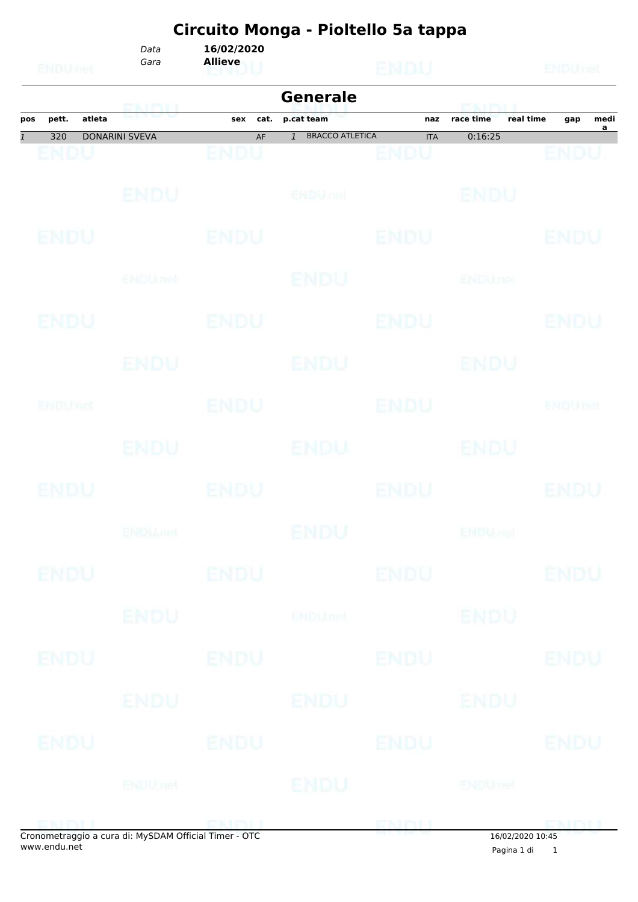#### **Circuito Monga - Pioltello 5a tappa** *Data* **16/02/2020**

*Gara* **Allieve**

|              |             |        |                       |             | <b>Generale</b>                          |             | POLITICI I                 |                               |
|--------------|-------------|--------|-----------------------|-------------|------------------------------------------|-------------|----------------------------|-------------------------------|
| pos          | pett.       | atleta | ENDU                  | sex<br>cat. | p.cat team                               | naz         | real time<br>race time     | medi<br>gap<br>$\overline{a}$ |
| $\mathbf{1}$ | 320         |        | <b>DONARINI SVEVA</b> | AF          | <b>BRACCO ATLETICA</b><br>$\overline{1}$ | <b>ITA</b>  | 0:16:25                    |                               |
|              | ENDU        |        |                       | ENDU        |                                          | <b>ENDU</b> |                            | ENDU                          |
|              |             |        | ENDU                  |             | ENDULfet                                 |             | <b>BNDU</b>                |                               |
|              | <b>ENDU</b> |        |                       | <b>ENDU</b> |                                          | <b>ENDU</b> |                            | ENDU                          |
|              |             |        | ENDU, nel             |             | ENDU                                     |             | <b>ENDUnet</b>             |                               |
|              | ENDU        |        |                       | ENDU        |                                          | <b>ENDU</b> |                            | ENDU                          |
|              |             |        | ENDU                  |             | <b>ENDU</b>                              |             | ENDU                       |                               |
|              | ENDUMA      |        |                       | <b>ENDU</b> |                                          | <b>ENDU</b> |                            | <b>ENDUnet</b>                |
|              |             |        | ENDU.                 |             | ENDU                                     |             | ENDU                       |                               |
|              | ENDU        |        |                       | <b>ENDU</b> |                                          | <b>ENDU</b> |                            | ENDU                          |
|              |             |        | <b>ENDUmet</b>        |             | ENDU                                     |             | <b>ENDU<sub>ndet</sub></b> |                               |
|              | ENDU        |        |                       | <b>ENDU</b> |                                          | <b>ENDU</b> |                            | <b>ENDU</b>                   |
|              |             |        | <b>ENDU</b>           |             | <b>ENDU<sub>net</sub></b>                |             | <b>ENDU</b>                |                               |
|              | <b>ENDU</b> |        |                       | <b>ENDU</b> |                                          | <b>ENDU</b> |                            | <b>ENDU</b>                   |
|              |             |        | ENDU                  |             | ENDU                                     |             | ENDU                       |                               |
|              | <b>ENDU</b> |        |                       | <b>ENDU</b> |                                          | <b>ENDU</b> |                            | <b>ENDU</b>                   |
|              |             |        | <b>ENDUnet</b>        |             | ENDU                                     |             | <b>ENDUmet</b>             |                               |
|              |             |        | ENDU                  |             | di. M.CDAM Official Times. OTC.          |             | ENDLI PRINT                |                               |